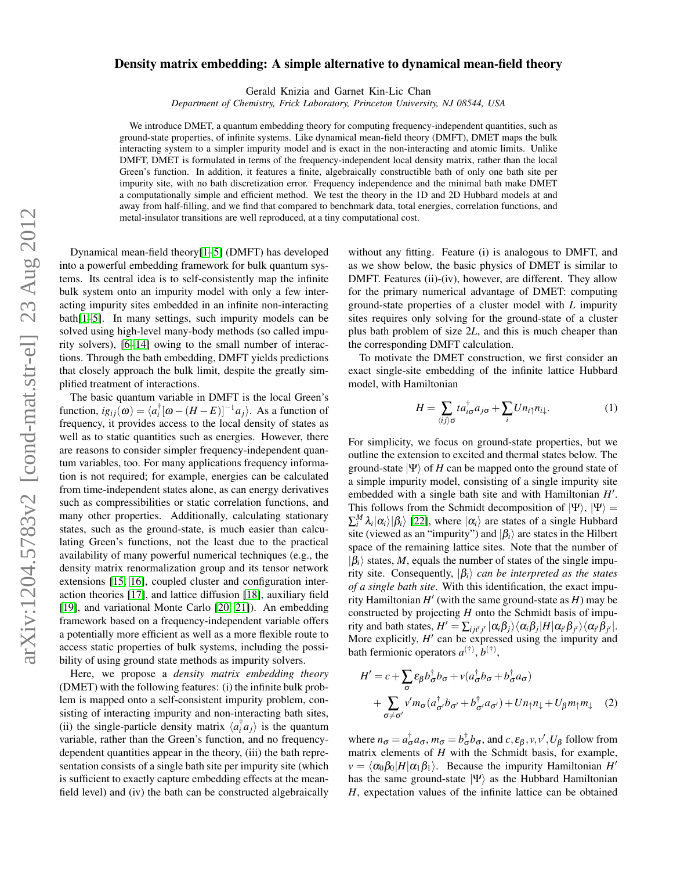## $arXiv:1204.5783v2$  [cond-mat.str-el] 23 Aug 2012 arXiv:1204.5783v2 [cond-mat.str-el] 23 Aug 2012

## Density matrix embedding: A simple alternative to dynamical mean-field theory

Gerald Knizia and Garnet Kin-Lic Chan

*Department of Chemistry, Frick Laboratory, Princeton University, NJ 08544, USA*

We introduce DMET, a quantum embedding theory for computing frequency-independent quantities, such as ground-state properties, of infinite systems. Like dynamical mean-field theory (DMFT), DMET maps the bulk interacting system to a simpler impurity model and is exact in the non-interacting and atomic limits. Unlike DMFT, DMET is formulated in terms of the frequency-independent local density matrix, rather than the local Green's function. In addition, it features a finite, algebraically constructible bath of only one bath site per impurity site, with no bath discretization error. Frequency independence and the minimal bath make DMET a computationally simple and efficient method. We test the theory in the 1D and 2D Hubbard models at and away from half-filling, and we find that compared to benchmark data, total energies, correlation functions, and metal-insulator transitions are well reproduced, at a tiny computational cost.

Dynamical mean-field theory[\[1](#page-3-0)[–5\]](#page-3-1) (DMFT) has developed into a powerful embedding framework for bulk quantum systems. Its central idea is to self-consistently map the infinite bulk system onto an impurity model with only a few interacting impurity sites embedded in an infinite non-interacting bath[\[1](#page-3-0)[–5\]](#page-3-1). In many settings, such impurity models can be solved using high-level many-body methods (so called impurity solvers), [\[6](#page-3-2)[–14\]](#page-4-0) owing to the small number of interactions. Through the bath embedding, DMFT yields predictions that closely approach the bulk limit, despite the greatly simplified treatment of interactions.

The basic quantum variable in DMFT is the local Green's function,  $ig_{ij}(\omega) = \langle a_i^{\dagger} [\omega - (H - E)]^{-1} a_j \rangle$ . As a function of frequency, it provides access to the local density of states as well as to static quantities such as energies. However, there are reasons to consider simpler frequency-independent quantum variables, too. For many applications frequency information is not required; for example, energies can be calculated from time-independent states alone, as can energy derivatives such as compressibilities or static correlation functions, and many other properties. Additionally, calculating stationary states, such as the ground-state, is much easier than calculating Green's functions, not the least due to the practical availability of many powerful numerical techniques (e.g., the density matrix renormalization group and its tensor network extensions [\[15,](#page-4-1) [16\]](#page-4-2), coupled cluster and configuration interaction theories [\[17\]](#page-4-3), and lattice diffusion [\[18\]](#page-4-4), auxiliary field [\[19\]](#page-4-5), and variational Monte Carlo [\[20,](#page-4-6) [21\]](#page-4-7)). An embedding framework based on a frequency-independent variable offers a potentially more efficient as well as a more flexible route to access static properties of bulk systems, including the possibility of using ground state methods as impurity solvers.

Here, we propose a *density matrix embedding theory* (DMET) with the following features: (i) the infinite bulk problem is mapped onto a self-consistent impurity problem, consisting of interacting impurity and non-interacting bath sites, (ii) the single-particle density matrix  $\langle a_i^{\dagger} a_j \rangle$  is the quantum variable, rather than the Green's function, and no frequencydependent quantities appear in the theory, (iii) the bath representation consists of a single bath site per impurity site (which is sufficient to exactly capture embedding effects at the meanfield level) and (iv) the bath can be constructed algebraically

without any fitting. Feature (i) is analogous to DMFT, and as we show below, the basic physics of DMET is similar to DMFT. Features (ii)-(iv), however, are different. They allow for the primary numerical advantage of DMET: computing ground-state properties of a cluster model with *L* impurity sites requires only solving for the ground-state of a cluster plus bath problem of size 2*L*, and this is much cheaper than the corresponding DMFT calculation.

To motivate the DMET construction, we first consider an exact single-site embedding of the infinite lattice Hubbard model, with Hamiltonian

<span id="page-0-0"></span>
$$
H = \sum_{\langle ij \rangle \sigma} t a_{i\sigma}^{\dagger} a_{j\sigma} + \sum_{i} U n_{i\uparrow} n_{i\downarrow}.
$$
 (1)

For simplicity, we focus on ground-state properties, but we outline the extension to excited and thermal states below. The ground-state  $|\Psi\rangle$  of *H* can be mapped onto the ground state of a simple impurity model, consisting of a single impurity site embedded with a single bath site and with Hamiltonian H'. This follows from the Schmidt decomposition of  $|\Psi\rangle$ ,  $|\Psi\rangle$  =  $\sum_{i}^{M} \lambda_{i} |\alpha_{i}\rangle |\beta_{i}\rangle$  [\[22\]](#page-4-8), where  $|\alpha_{i}\rangle$  are states of a single Hubbard site (viewed as an "impurity") and  $|\beta_i\rangle$  are states in the Hilbert space of the remaining lattice sites. Note that the number of  $|\beta_i\rangle$  states, *M*, equals the number of states of the single impurity site. Consequently,  $|\beta_i\rangle$  *can be interpreted as the states of a single bath site*. With this identification, the exact impurity Hamiltonian  $H'$  (with the same ground-state as  $H$ ) may be constructed by projecting *H* onto the Schmidt basis of impu- $\langle \text{crity} \text{ and bath states, } H' = \sum_{i j i' j'} |\alpha_i \beta_j \rangle \langle \alpha_i \beta_j | H | \alpha_{i'} \beta_{j'} \rangle \langle \alpha_{i'} \beta_{j'} |.$ More explicitly,  $H'$  can be expressed using the impurity and bath fermionic operators  $a^{(\dagger)}, b^{(\dagger)},$ 

<span id="page-0-1"></span>
$$
H' = c + \sum_{\sigma} \varepsilon_{\beta} b_{\sigma}^{\dagger} b_{\sigma} + v(a_{\sigma}^{\dagger} b_{\sigma} + b_{\sigma}^{\dagger} a_{\sigma})
$$
  
+ 
$$
\sum_{\sigma \neq \sigma'} v' m_{\sigma} (a_{\sigma'}^{\dagger} b_{\sigma'} + b_{\sigma'}^{\dagger} a_{\sigma'}) + U n_{\uparrow} n_{\downarrow} + U_{\beta} m_{\uparrow} m_{\downarrow}
$$
 (2)

where  $n_{\sigma} = a_{\sigma}^{\dagger} a_{\sigma}, m_{\sigma} = b_{\sigma}^{\dagger} b_{\sigma}$ , and  $c, \varepsilon_{\beta}, v, v', U_{\beta}$  follow from matrix elements of *H* with the Schmidt basis, for example,  $\nu = \langle \alpha_0 \beta_0 | H | \alpha_1 \beta_1 \rangle$ . Because the impurity Hamiltonian *H'* has the same ground-state  $|\Psi\rangle$  as the Hubbard Hamiltonian *H*, expectation values of the infinite lattice can be obtained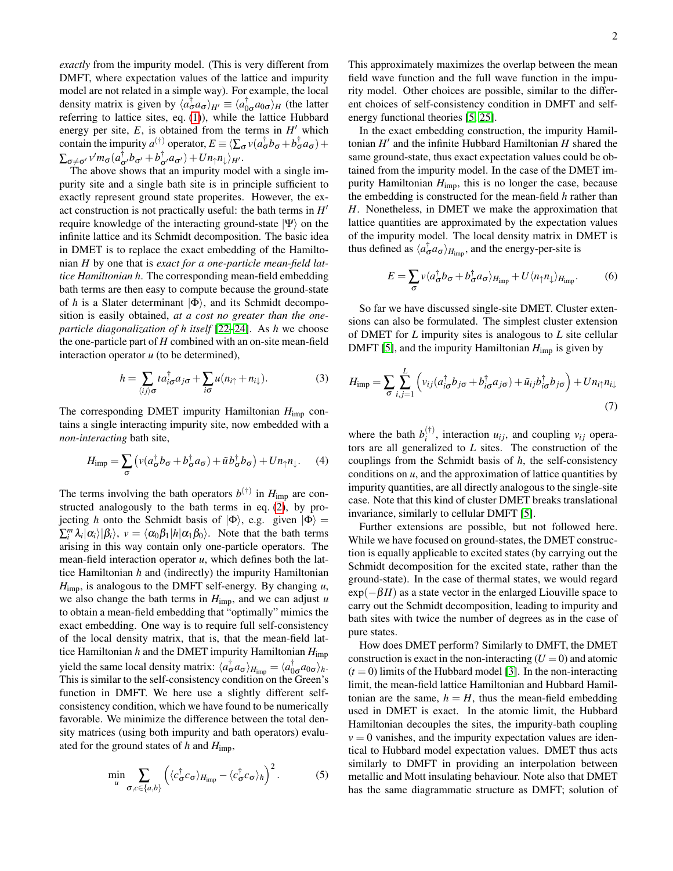*exactly* from the impurity model. (This is very different from DMFT, where expectation values of the lattice and impurity model are not related in a simple way). For example, the local density matrix is given by  $\langle a_{\sigma}^{\dagger} a_{\sigma} \rangle_{H'} \equiv \langle a_{0\sigma}^{\dagger} a_{0\sigma} \rangle_{H}$  (the latter referring to lattice sites, eq. [\(1\)](#page-0-0)), while the lattice Hubbard energy per site,  $E$ , is obtained from the terms in  $H'$  which contain the impurity  $a^{(\dagger)}$  operator,  $E \equiv \langle \sum_{\sigma} v(a_{\sigma}^{\dagger}b_{\sigma} + b_{\sigma}^{\dagger}a_{\sigma}) +$  $\sum_{\sigma\neq\sigma'} v'm_{\sigma}(a^{\dagger}_{\sigma'}b_{\sigma'}+b^{\dagger}_{\sigma'}a_{\sigma'})+Un_{\uparrow}n_{\downarrow}\rangle_{H'}.$ 

The above shows that an impurity model with a single impurity site and a single bath site is in principle sufficient to exactly represent ground state properites. However, the exact construction is not practically useful: the bath terms in  $H'$ require knowledge of the interacting ground-state  $|\Psi\rangle$  on the infinite lattice and its Schmidt decomposition. The basic idea in DMET is to replace the exact embedding of the Hamiltonian *H* by one that is *exact for a one-particle mean-field lattice Hamiltonian h*. The corresponding mean-field embedding bath terms are then easy to compute because the ground-state of *h* is a Slater determinant  $|\Phi\rangle$ , and its Schmidt decomposition is easily obtained, *at a cost no greater than the oneparticle diagonalization of h itself* [\[22–](#page-4-8)[24\]](#page-4-9). As *h* we choose the one-particle part of *H* combined with an on-site mean-field interaction operator *u* (to be determined),

$$
h = \sum_{\langle ij \rangle \sigma} t a_{i\sigma}^{\dagger} a_{j\sigma} + \sum_{i\sigma} u(n_{i\uparrow} + n_{i\downarrow}). \tag{3}
$$

The corresponding DMET impurity Hamiltonian *H*imp contains a single interacting impurity site, now embedded with a *non-interacting* bath site,

$$
H_{\rm imp} = \sum_{\sigma} \left( v(a_{\sigma}^{\dagger} b_{\sigma} + b_{\sigma}^{\dagger} a_{\sigma}) + \tilde{u} b_{\sigma}^{\dagger} b_{\sigma} \right) + U n_{\uparrow} n_{\downarrow}.
$$
 (4)

The terms involving the bath operators  $b^{(\dagger)}$  in  $H_{\text{imp}}$  are constructed analogously to the bath terms in eq. [\(2\)](#page-0-1), by projecting *h* onto the Schmidt basis of  $|\Phi\rangle$ , e.g. given  $|\Phi\rangle$  =  $\sum_{i}^{m} \lambda_{i} |\alpha_{i}\rangle |\beta_{i}\rangle$ ,  $v = \langle \alpha_{0} \beta_{1} | h | \alpha_{1} \beta_{0} \rangle$ . Note that the bath terms arising in this way contain only one-particle operators. The mean-field interaction operator *u*, which defines both the lattice Hamiltonian *h* and (indirectly) the impurity Hamiltonian *H*imp, is analogous to the DMFT self-energy. By changing *u*, we also change the bath terms in *H*imp, and we can adjust *u* to obtain a mean-field embedding that "optimally" mimics the exact embedding. One way is to require full self-consistency of the local density matrix, that is, that the mean-field lattice Hamiltonian *h* and the DMET impurity Hamiltonian *H*imp yield the same local density matrix:  $\langle a_{\sigma}^{\dagger} a_{\sigma} \rangle_{H_{\text{imp}}} = \langle a_{0\sigma}^{\dagger} a_{0\sigma} \rangle_h$ . This is similar to the self-consistency condition on the Green's function in DMFT. We here use a slightly different selfconsistency condition, which we have found to be numerically favorable. We minimize the difference between the total density matrices (using both impurity and bath operators) evaluated for the ground states of *h* and *H*imp,

$$
\min_{u} \sum_{\sigma,c \in \{a,b\}} \left( \langle c_{\sigma}^{\dagger} c_{\sigma} \rangle_{H_{\text{imp}}} - \langle c_{\sigma}^{\dagger} c_{\sigma} \rangle_{h} \right)^{2}.
$$
 (5)

This approximately maximizes the overlap between the mean field wave function and the full wave function in the impurity model. Other choices are possible, similar to the different choices of self-consistency condition in DMFT and selfenergy functional theories [\[5,](#page-3-1) [25\]](#page-4-10).

In the exact embedding construction, the impurity Hamiltonian *H'* and the infinite Hubbard Hamiltonian *H* shared the same ground-state, thus exact expectation values could be obtained from the impurity model. In the case of the DMET impurity Hamiltonian *H*imp, this is no longer the case, because the embedding is constructed for the mean-field *h* rather than *H*. Nonetheless, in DMET we make the approximation that lattice quantities are approximated by the expectation values of the impurity model. The local density matrix in DMET is thus defined as  $\langle a_{\sigma}^{\dagger} a_{\sigma} \rangle_{H_{\text{imp}}}$ , and the energy-per-site is

$$
E = \sum_{\sigma} v \langle a_{\sigma}^{\dagger} b_{\sigma} + b_{\sigma}^{\dagger} a_{\sigma} \rangle_{H_{\text{imp}}} + U \langle n_{\uparrow} n_{\downarrow} \rangle_{H_{\text{imp}}}.
$$
 (6)

So far we have discussed single-site DMET. Cluster extensions can also be formulated. The simplest cluster extension of DMET for *L* impurity sites is analogous to *L* site cellular DMFT [\[5\]](#page-3-1), and the impurity Hamiltonian  $H_{\text{imp}}$  is given by

<span id="page-1-0"></span>
$$
H_{\text{imp}} = \sum_{\sigma} \sum_{i,j=1}^{L} \left( v_{ij} (a_{i\sigma}^{\dagger} b_{j\sigma} + b_{i\sigma}^{\dagger} a_{j\sigma}) + \tilde{u}_{ij} b_{i\sigma}^{\dagger} b_{j\sigma} \right) + U n_{i\uparrow} n_{i\downarrow}
$$
\n(7)

where the bath  $b_i^{(\dagger)}$  $\binom{1}{i}$ , interaction  $u_{ij}$ , and coupling  $v_{ij}$  operators are all generalized to *L* sites. The construction of the couplings from the Schmidt basis of *h*, the self-consistency conditions on *u*, and the approximation of lattice quantities by impurity quantities, are all directly analogous to the single-site case. Note that this kind of cluster DMET breaks translational invariance, similarly to cellular DMFT [\[5\]](#page-3-1).

Further extensions are possible, but not followed here. While we have focused on ground-states, the DMET construction is equally applicable to excited states (by carrying out the Schmidt decomposition for the excited state, rather than the ground-state). In the case of thermal states, we would regard  $\exp(-\beta H)$  as a state vector in the enlarged Liouville space to carry out the Schmidt decomposition, leading to impurity and bath sites with twice the number of degrees as in the case of pure states.

How does DMET perform? Similarly to DMFT, the DMET construction is exact in the non-interacting  $(U = 0)$  and atomic  $(t = 0)$  limits of the Hubbard model [\[3\]](#page-3-3). In the non-interacting limit, the mean-field lattice Hamiltonian and Hubbard Hamiltonian are the same,  $h = H$ , thus the mean-field embedding used in DMET is exact. In the atomic limit, the Hubbard Hamiltonian decouples the sites, the impurity-bath coupling  $v = 0$  vanishes, and the impurity expectation values are identical to Hubbard model expectation values. DMET thus acts similarly to DMFT in providing an interpolation between metallic and Mott insulating behaviour. Note also that DMET has the same diagrammatic structure as DMFT; solution of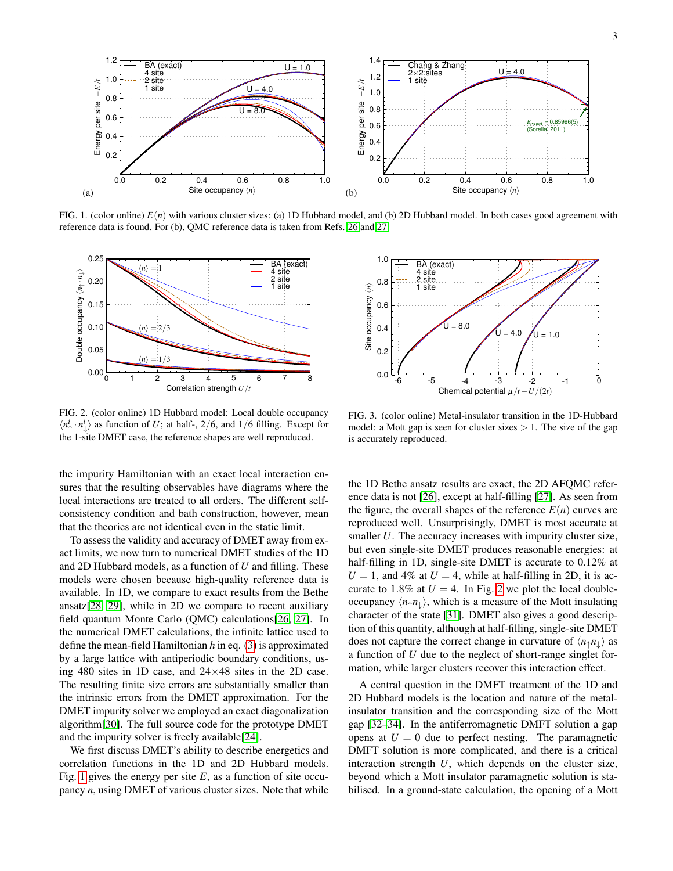

<span id="page-2-0"></span>FIG. 1. (color online)  $E(n)$  with various cluster sizes: (a) 1D Hubbard model, and (b) 2D Hubbard model. In both cases good agreement with reference data is found. For (b), QMC reference data is taken from Refs. [26](#page-4-11) and [27.](#page-4-12)



<span id="page-2-1"></span>FIG. 2. (color online) 1D Hubbard model: Local double occupancy  $\langle n_+^i \cdot n_\perp^i \rangle$  as function of *U*; at half-, 2/6, and 1/6 filling. Except for the 1-site DMET case, the reference shapes are well reproduced.

the impurity Hamiltonian with an exact local interaction ensures that the resulting observables have diagrams where the local interactions are treated to all orders. The different selfconsistency condition and bath construction, however, mean that the theories are not identical even in the static limit.

To assess the validity and accuracy of DMET away from exact limits, we now turn to numerical DMET studies of the 1D and 2D Hubbard models, as a function of *U* and filling. These models were chosen because high-quality reference data is available. In 1D, we compare to exact results from the Bethe ansatz[\[28,](#page-4-13) [29\]](#page-4-14), while in 2D we compare to recent auxiliary field quantum Monte Carlo (QMC) calculations[\[26,](#page-4-11) [27\]](#page-4-12). In the numerical DMET calculations, the infinite lattice used to define the mean-field Hamiltonian *h* in eq. [\(3\)](#page-1-0) is approximated by a large lattice with antiperiodic boundary conditions, using 480 sites in 1D case, and 24×48 sites in the 2D case. The resulting finite size errors are substantially smaller than the intrinsic errors from the DMET approximation. For the DMET impurity solver we employed an exact diagonalization algorithm[\[30\]](#page-4-15). The full source code for the prototype DMET and the impurity solver is freely available[\[24\]](#page-4-9).

We first discuss DMET's ability to describe energetics and correlation functions in the 1D and 2D Hubbard models. Fig. [1](#page-2-0) gives the energy per site *E*, as a function of site occupancy *n*, using DMET of various cluster sizes. Note that while



<span id="page-2-2"></span>FIG. 3. (color online) Metal-insulator transition in the 1D-Hubbard model: a Mott gap is seen for cluster sizes  $> 1$ . The size of the gap is accurately reproduced.

the 1D Bethe ansatz results are exact, the 2D AFQMC reference data is not [\[26\]](#page-4-11), except at half-filling [\[27\]](#page-4-12). As seen from the figure, the overall shapes of the reference  $E(n)$  curves are reproduced well. Unsurprisingly, DMET is most accurate at smaller *U*. The accuracy increases with impurity cluster size, but even single-site DMET produces reasonable energies: at half-filling in 1D, single-site DMET is accurate to 0.12% at  $U = 1$ , and 4% at  $U = 4$ , while at half-filling in 2D, it is accurate to 1.8% at  $U = 4$ . In Fig. [2](#page-2-1) we plot the local doubleoccupancy  $\langle n_1 n_1 \rangle$ , which is a measure of the Mott insulating character of the state [\[31\]](#page-4-16). DMET also gives a good description of this quantity, although at half-filling, single-site DMET does not capture the correct change in curvature of  $\langle n_1 n_1 \rangle$  as a function of *U* due to the neglect of short-range singlet formation, while larger clusters recover this interaction effect.

A central question in the DMFT treatment of the 1D and 2D Hubbard models is the location and nature of the metalinsulator transition and the corresponding size of the Mott gap [\[32–](#page-4-17)[34\]](#page-4-18). In the antiferromagnetic DMFT solution a gap opens at  $U = 0$  due to perfect nesting. The paramagnetic DMFT solution is more complicated, and there is a critical interaction strength *U*, which depends on the cluster size, beyond which a Mott insulator paramagnetic solution is stabilised. In a ground-state calculation, the opening of a Mott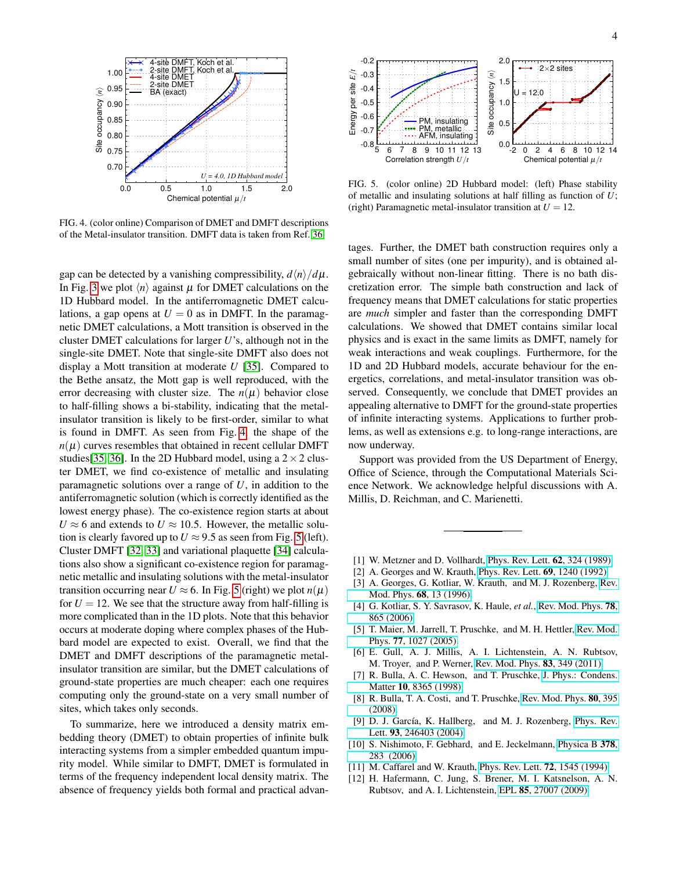

<span id="page-3-4"></span>FIG. 4. (color online) Comparison of DMET and DMFT descriptions of the Metal-insulator transition. DMFT data is taken from Ref. [36.](#page-4-19)

gap can be detected by a vanishing compressibility,  $d\langle n \rangle / d\mu$ . In Fig. [3](#page-2-2) we plot  $\langle n \rangle$  against  $\mu$  for DMET calculations on the 1D Hubbard model. In the antiferromagnetic DMET calculations, a gap opens at  $U = 0$  as in DMFT. In the paramagnetic DMET calculations, a Mott transition is observed in the cluster DMET calculations for larger *U*'s, although not in the single-site DMET. Note that single-site DMFT also does not display a Mott transition at moderate *U* [\[35\]](#page-4-20). Compared to the Bethe ansatz, the Mott gap is well reproduced, with the error decreasing with cluster size. The  $n(\mu)$  behavior close to half-filling shows a bi-stability, indicating that the metalinsulator transition is likely to be first-order, similar to what is found in DMFT. As seen from Fig. [4,](#page-3-4) the shape of the  $n(\mu)$  curves resembles that obtained in recent cellular DMFT studies[\[35,](#page-4-20) [36\]](#page-4-19). In the 2D Hubbard model, using a  $2 \times 2$  cluster DMET, we find co-existence of metallic and insulating paramagnetic solutions over a range of *U*, in addition to the antiferromagnetic solution (which is correctly identified as the lowest energy phase). The co-existence region starts at about  $U \approx 6$  and extends to  $U \approx 10.5$ . However, the metallic solution is clearly favored up to  $U \approx 9.5$  as seen from Fig. [5](#page-3-5) (left). Cluster DMFT [\[32,](#page-4-17) [33\]](#page-4-21) and variational plaquette [\[34\]](#page-4-18) calculations also show a significant co-existence region for paramagnetic metallic and insulating solutions with the metal-insulator transition occurring near  $U \approx 6$ . In Fig. [5](#page-3-5) (right) we plot  $n(\mu)$ for  $U = 12$ . We see that the structure away from half-filling is more complicated than in the 1D plots. Note that this behavior occurs at moderate doping where complex phases of the Hubbard model are expected to exist. Overall, we find that the DMET and DMFT descriptions of the paramagnetic metalinsulator transition are similar, but the DMET calculations of ground-state properties are much cheaper: each one requires computing only the ground-state on a very small number of sites, which takes only seconds.

To summarize, here we introduced a density matrix embedding theory (DMET) to obtain properties of infinite bulk interacting systems from a simpler embedded quantum impurity model. While similar to DMFT, DMET is formulated in terms of the frequency independent local density matrix. The absence of frequency yields both formal and practical advan-



<span id="page-3-5"></span>FIG. 5. (color online) 2D Hubbard model: (left) Phase stability of metallic and insulating solutions at half filling as function of *U*; (right) Paramagnetic metal-insulator transition at  $U = 12$ .

tages. Further, the DMET bath construction requires only a small number of sites (one per impurity), and is obtained algebraically without non-linear fitting. There is no bath discretization error. The simple bath construction and lack of frequency means that DMET calculations for static properties are *much* simpler and faster than the corresponding DMFT calculations. We showed that DMET contains similar local physics and is exact in the same limits as DMFT, namely for weak interactions and weak couplings. Furthermore, for the 1D and 2D Hubbard models, accurate behaviour for the energetics, correlations, and metal-insulator transition was observed. Consequently, we conclude that DMET provides an appealing alternative to DMFT for the ground-state properties of infinite interacting systems. Applications to further problems, as well as extensions e.g. to long-range interactions, are now underway.

Support was provided from the US Department of Energy, Office of Science, through the Computational Materials Science Network. We acknowledge helpful discussions with A. Millis, D. Reichman, and C. Marienetti.

- <span id="page-3-0"></span>[1] W. Metzner and D. Vollhardt, [Phys. Rev. Lett.](http://dx.doi.org/10.1103/PhysRevLett.62.324) **62**, 324 (1989).
- [2] A. Georges and W. Krauth, [Phys. Rev. Lett.](http://dx.doi.org/10.1103/PhysRevLett.69.1240) **69**, 1240 (1992).
- <span id="page-3-3"></span>[3] A. Georges, G. Kotliar, W. Krauth, and M. J. Rozenberg, [Rev.](http://dx.doi.org/ 10.1103/RevModPhys.68.13) [Mod. Phys.](http://dx.doi.org/ 10.1103/RevModPhys.68.13) 68, 13 (1996).
- [4] G. Kotliar, S. Y. Savrasov, K. Haule, *et al.*, [Rev. Mod. Phys.](http://dx.doi.org/10.1103/RevModPhys.78.865) 78, [865 \(2006\).](http://dx.doi.org/10.1103/RevModPhys.78.865)
- <span id="page-3-1"></span>[5] T. Maier, M. Jarrell, T. Pruschke, and M. H. Hettler, [Rev. Mod.](http://dx.doi.org/10.1103/RevModPhys.77.1027) Phys. 77[, 1027 \(2005\).](http://dx.doi.org/10.1103/RevModPhys.77.1027)
- <span id="page-3-2"></span>[6] E. Gull, A. J. Millis, A. I. Lichtenstein, A. N. Rubtsov, M. Troyer, and P. Werner, [Rev. Mod. Phys.](http://dx.doi.org/ 10.1103/RevModPhys.83.349) 83, 349 (2011).
- [7] R. Bulla, A. C. Hewson, and T. Pruschke, [J. Phys.: Condens.](http://stacks.iop.org/0953-8984/10/8365) Matter 10[, 8365 \(1998\).](http://stacks.iop.org/0953-8984/10/8365)
- [8] R. Bulla, T. A. Costi, and T. Pruschke, [Rev. Mod. Phys.](http://dx.doi.org/10.1103/RevModPhys.80.395) 80, 395 [\(2008\).](http://dx.doi.org/10.1103/RevModPhys.80.395)
- [9] D. J. García, K. Hallberg, and M. J. Rozenberg, [Phys. Rev.](http://dx.doi.org/10.1103/PhysRevLett.93.246403) Lett. 93[, 246403 \(2004\).](http://dx.doi.org/10.1103/PhysRevLett.93.246403)
- [10] S. Nishimoto, F. Gebhard, and E. Jeckelmann, [Physica B](http://dx.doi.org/10.1016/j.physb.2006.01.104) 378, [283 \(2006\).](http://dx.doi.org/10.1016/j.physb.2006.01.104)
- [11] M. Caffarel and W. Krauth, [Phys. Rev. Lett.](http://dx.doi.org/10.1103/PhysRevLett.72.1545) **72**, 1545 (1994).
- [12] H. Hafermann, C. Jung, S. Brener, M. I. Katsnelson, A. N. Rubtsov, and A. I. Lichtenstein, EPL 85[, 27007 \(2009\).](http://dx.doi.org/10.1209/0295-5075/85/27007)